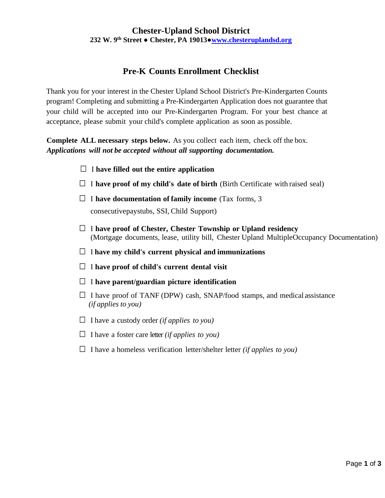# **Chester-Upland School District 232 W. 9th Street ● Chester, PA 19013●[www.chesteruplandsd.org](http://www.chesteruplandsd.org/)**

# **Pre-K Counts Enrollment Checklist**

Thank you for your interest in the Chester Upland School District's Pre-Kindergarten Counts program! Completing and submitting a Pre-Kindergarten Application does not guarantee that your child will be accepted into our Pre-Kindergarten Program. For your best chance at acceptance, please submit your child's complete application as soon as possible.

**Complete ALL necessary steps below.** As you collect each item, check off the box. *Applications will not be accepted without all supporting documentation.*

- □ <sup>I</sup> **have filled out the entire application**
- $\Box$  I **have proof of my child's date of birth** (Birth Certificate with raised seal)
- □ <sup>I</sup> **have documentation of family income** (Tax forms, <sup>3</sup> consecutivepaystubs, SSI, Child Support)
- □ <sup>I</sup> **have proof of Chester, Chester Township or Upland residency** (Mortgage documents, lease, utility bill, Chester Upland MultipleOccupancy Documentation)
- □ <sup>I</sup>**have my child's current physical and immunizations**
- □ <sup>I</sup> **have proof of child's current dental visit**
- □ <sup>I</sup> **have parent/guardian picture identification**
- $\Box$  I have proof of TANF (DPW) cash, SNAP/food stamps, and medical assistance  *(if applies to you)*
- $\Box$  I have a custody order *(if applies to you)*
- $\Box$  I have a foster care letter *(if applies to you)*
- $\Box$  I have a homeless verification letter/shelter letter *(if applies to you)*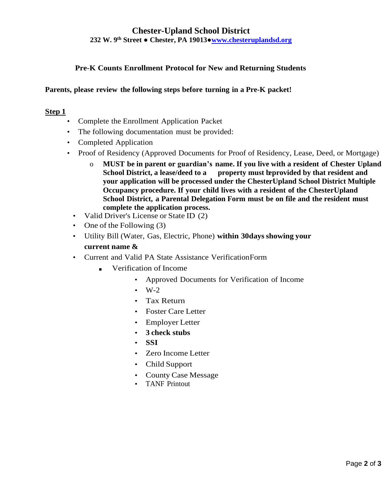## **Chester-Upland School District 232 W. 9th Street ● Chester, PA 19013●[www.chesteruplandsd.org](http://www.chesteruplandsd.org/)**

## **Pre-K Counts Enrollment Protocol for New and Returning Students**

### **Parents, please review the following steps before turning in a Pre-K packet!**

#### **Step 1**

- Complete the Enrollment Application Packet
- The following documentation must be provided:
- Completed Application
- Proof of Residency (Approved Documents for Proof of Residency, Lease, Deed, or Mortgage)
	- o **MUST be in parent or guardian's name. If you live with a resident of Chester Upland School District, a lease/deed to a property must beprovided by that resident and your application will be processed under the ChesterUpland School District Multiple Occupancy procedure. If your child lives with a resident of the ChesterUpland School District, a Parental Delegation Form must be on file and the resident must complete the application process.**
	- Valid Driver's License or State ID (2)
	- One of the Following (3)
	- Utility Bill (Water, Gas, Electric, Phone) **within 30daysshowing your current name &**
	- Current and Valid PA State Assistance VerificationForm
		- Verification of Income
			- Approved Documents for Verification of Income
			- $\cdot$  W-2
			- Tax Return
			- Foster Care Letter
			- Employer Letter
			- **3 check stubs**
			- **SSI**
			- Zero Income Letter
			- Child Support
			- County Case Message
			- TANF Printout